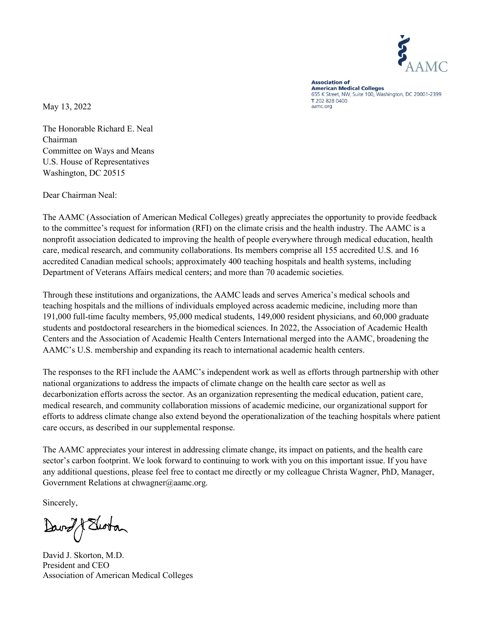

**Association of American Medical Colleges** 655 K Street, NW, Suite 100, Washington, DC 20001-2399 T 202 828 0400 aamc.org

May 13, 2022

The Honorable Richard E. Neal Chairman Committee on Ways and Means U.S. House of Representatives Washington, DC 20515

Dear Chairman Neal:

The AAMC (Association of American Medical Colleges) greatly appreciates the opportunity to provide feedback to the committee's request for information (RFI) on the climate crisis and the health industry. The AAMC is a nonprofit association dedicated to improving the health of people everywhere through medical education, health care, medical research, and community collaborations. Its members comprise all 155 accredited U.S. and 16 accredited Canadian medical schools; approximately 400 teaching hospitals and health systems, including Department of Veterans Affairs medical centers; and more than 70 academic societies.

Through these institutions and organizations, the AAMC leads and serves America's medical schools and teaching hospitals and the millions of individuals employed across academic medicine, including more than 191,000 full-time faculty members, 95,000 medical students, 149,000 resident physicians, and 60,000 graduate students and postdoctoral researchers in the biomedical sciences. In 2022, the Association of Academic Health Centers and the Association of Academic Health Centers International merged into the AAMC, broadening the AAMC's U.S. membership and expanding its reach to international academic health centers.

The responses to the RFI include the AAMC's independent work as well as efforts through partnership with other national organizations to address the impacts of climate change on the health care sector as well as decarbonization efforts across the sector. As an organization representing the medical education, patient care, medical research, and community collaboration missions of academic medicine, our organizational support for efforts to address climate change also extend beyond the operationalization of the teaching hospitals where patient care occurs, as described in our supplemental response.

The AAMC appreciates your interest in addressing climate change, its impact on patients, and the health care sector's carbon footprint. We look forward to continuing to work with you on this important issue. If you have any additional questions, please feel free to contact me directly or my colleague Christa Wagner, PhD, Manager, Government Relations at chwagner@aamc.org.

Sincerely,

David & Swoton

David J. Skorton, M.D. President and CEO Association of American Medical Colleges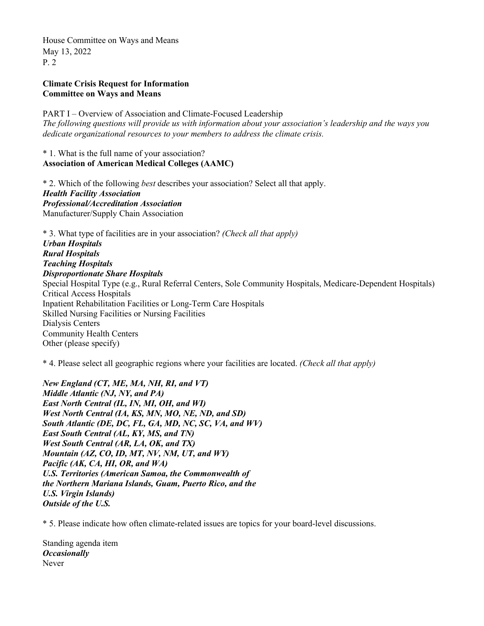# **Climate Crisis Request for Information Committee on Ways and Means**

PART I – Overview of Association and Climate-Focused Leadership *The following questions will provide us with information about your association's leadership and the ways you dedicate organizational resources to your members to address the climate crisis.*

## \* 1. What is the full name of your association? **Association of American Medical Colleges (AAMC)**

\* 2. Which of the following *best* describes your association? Select all that apply. *Health Facility Association Professional/Accreditation Association* Manufacturer/Supply Chain Association

\* 3. What type of facilities are in your association? *(Check all that apply) Urban Hospitals Rural Hospitals Teaching Hospitals Disproportionate Share Hospitals* Special Hospital Type (e.g., Rural Referral Centers, Sole Community Hospitals, Medicare-Dependent Hospitals) Critical Access Hospitals Inpatient Rehabilitation Facilities or Long-Term Care Hospitals Skilled Nursing Facilities or Nursing Facilities Dialysis Centers Community Health Centers Other (please specify)

\* 4. Please select all geographic regions where your facilities are located. *(Check all that apply)*

*New England (CT, ME, MA, NH, RI, and VT) Middle Atlantic (NJ, NY, and PA) East North Central (IL, IN, MI, OH, and WI) West North Central (IA, KS, MN, MO, NE, ND, and SD) South Atlantic (DE, DC, FL, GA, MD, NC, SC, VA, and WV) East South Central (AL, KY, MS, and TN) West South Central (AR, LA, OK, and TX) Mountain (AZ, CO, ID, MT, NV, NM, UT, and WY) Pacific (AK, CA, HI, OR, and WA) U.S. Territories (American Samoa, the Commonwealth of the Northern Mariana Islands, Guam, Puerto Rico, and the U.S. Virgin Islands) Outside of the U.S.*

\* 5. Please indicate how often climate-related issues are topics for your board-level discussions.

Standing agenda item *Occasionally* Never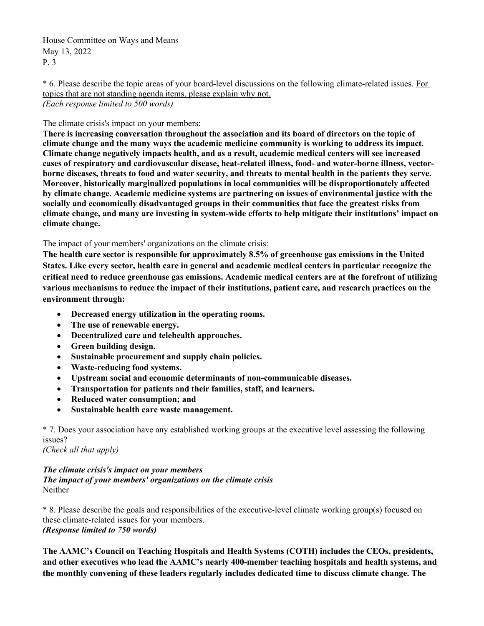\* 6. Please describe the topic areas of your board-level discussions on the following climate-related issues. For topics that are not standing agenda items, please explain why not. *(Each response limited to 500 words)*

The climate crisis's impact on your members:

**There is increasing conversation throughout the association and its board of directors on the topic of climate change and the many ways the academic medicine community is working to address its impact. Climate change negatively impacts health, and as a result, academic medical centers will see increased cases of respiratory and cardiovascular disease, heat-related illness, food- and water-borne illness, vectorborne diseases, threats to food and water security, and threats to mental health in the patients they serve. Moreover, historically marginalized populations in local communities will be disproportionately affected by climate change. Academic medicine systems are partnering on issues of environmental justice with the socially and economically disadvantaged groups in their communities that face the greatest risks from climate change, and many are investing in system-wide efforts to help mitigate their institutions' impact on climate change.**

The impact of your members' organizations on the climate crisis:

**The health care sector is responsible for approximately 8.5% of greenhouse gas emissions in the United States. Like every sector, health care in general and academic medical centers in particular recognize the critical need to reduce greenhouse gas emissions. Academic medical centers are at the forefront of utilizing various mechanisms to reduce the impact of their institutions, patient care, and research practices on the environment through:** 

- **Decreased energy utilization in the operating rooms.**
- **The use of renewable energy.**
- **Decentralized care and telehealth approaches.**
- **Green building design.**
- **Sustainable procurement and supply chain policies.**
- **Waste-reducing food systems.**
- **Upstream social and economic determinants of non-communicable diseases.**
- **Transportation for patients and their families, staff, and learners.**
- **Reduced water consumption; and**
- **Sustainable health care waste management.**

\* 7. Does your association have any established working groups at the executive level assessing the following issues?

*(Check all that apply)*

*The climate crisis's impact on your members The impact of your members' organizations on the climate crisis* Neither

\* 8. Please describe the goals and responsibilities of the executive-level climate working group(s) focused on these climate-related issues for your members. *(Response limited to 750 words)* 

**The AAMC's Council on Teaching Hospitals and Health Systems (COTH) includes the CEOs, presidents, and other executives who lead the AAMC's nearly 400-member teaching hospitals and health systems, and the monthly convening of these leaders regularly includes dedicated time to discuss climate change. The**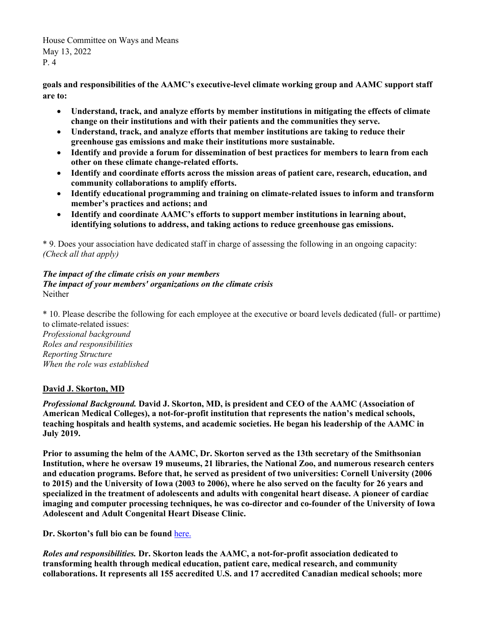**goals and responsibilities of the AAMC's executive-level climate working group and AAMC support staff are to:** 

- **Understand, track, and analyze efforts by member institutions in mitigating the effects of climate change on their institutions and with their patients and the communities they serve.**
- **Understand, track, and analyze efforts that member institutions are taking to reduce their greenhouse gas emissions and make their institutions more sustainable.**
- **Identify and provide a forum for dissemination of best practices for members to learn from each other on these climate change-related efforts.**
- **Identify and coordinate efforts across the mission areas of patient care, research, education, and community collaborations to amplify efforts.**
- **Identify educational programming and training on climate-related issues to inform and transform member's practices and actions; and**
- **Identify and coordinate AAMC's efforts to support member institutions in learning about, identifying solutions to address, and taking actions to reduce greenhouse gas emissions.**

\* 9. Does your association have dedicated staff in charge of assessing the following in an ongoing capacity: *(Check all that apply)*

# *The impact of the climate crisis on your members The impact of your members' organizations on the climate crisis* Neither

\* 10. Please describe the following for each employee at the executive or board levels dedicated (full- or parttime) to climate-related issues: *Professional background Roles and responsibilities Reporting Structure When the role was established*

# **David J. Skorton, MD**

*Professional Background.* **David J. Skorton, MD, is president and CEO of the AAMC (Association of American Medical Colleges), a not-for-profit institution that represents the nation's medical schools, teaching hospitals and health systems, and academic societies. He began his leadership of the AAMC in July 2019.** 

**Prior to assuming the helm of the AAMC, Dr. Skorton served as the 13th secretary of the Smithsonian Institution, where he oversaw 19 museums, 21 libraries, the National Zoo, and numerous research centers and education programs. Before that, he served as president of two universities: Cornell University (2006 to 2015) and the University of Iowa (2003 to 2006), where he also served on the faculty for 26 years and specialized in the treatment of adolescents and adults with congenital heart disease. A pioneer of cardiac imaging and computer processing techniques, he was co-director and co-founder of the University of Iowa Adolescent and Adult Congenital Heart Disease Clinic.**

**Dr. Skorton's full bio can be found** [here.](https://www.aamc.org/media/10286/download?attachment)

*Roles and responsibilities.* **Dr. Skorton leads the AAMC, a not-for-profit association dedicated to transforming health through medical education, patient care, medical research, and community collaborations. It represents all 155 accredited U.S. and 17 accredited Canadian medical schools; more**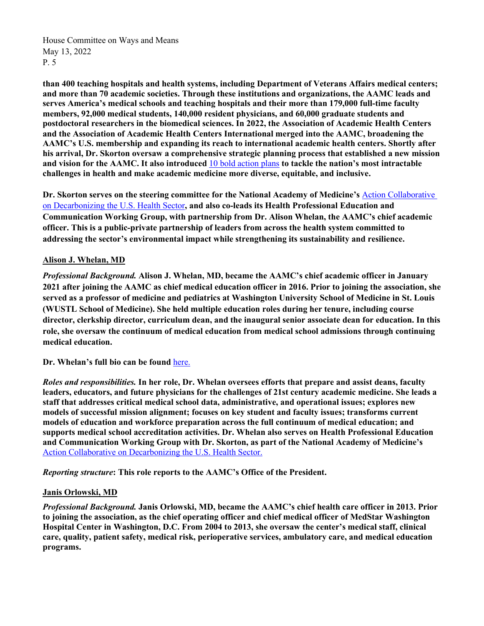**than 400 teaching hospitals and health systems, including Department of Veterans Affairs medical centers; and more than 70 academic societies. Through these institutions and organizations, the AAMC leads and serves America's medical schools and teaching hospitals and their more than 179,000 full-time faculty members, 92,000 medical students, 140,000 resident physicians, and 60,000 graduate students and postdoctoral researchers in the biomedical sciences. In 2022, the Association of Academic Health Centers and the Association of Academic Health Centers International merged into the AAMC, broadening the AAMC's U.S. membership and expanding its reach to international academic health centers. Shortly after his arrival, Dr. Skorton oversaw a comprehensive strategic planning process that established a new mission and vision for the AAMC. It also introduced** [10 bold action plans](https://strategicplan.aamc.org/) **to tackle the nation's most intractable challenges in health and make academic medicine more diverse, equitable, and inclusive.**

**Dr. Skorton serves on the steering committee for the National Academy of Medicine's** [Action Collaborative](https://nam.edu/programs/climate-change-and-human-health/action-collaborative-on-decarbonizing-the-u-s-health-sector/)  [on Decarbonizing the U.S. Health Sector](https://nam.edu/programs/climate-change-and-human-health/action-collaborative-on-decarbonizing-the-u-s-health-sector/)**, and also co-leads its Health Professional Education and Communication Working Group, with partnership from Dr. Alison Whelan, the AAMC's chief academic officer. This is a public-private partnership of leaders from across the health system committed to addressing the sector's environmental impact while strengthening its sustainability and resilience.**

# **Alison J. Whelan, MD**

*Professional Background.* **Alison J. Whelan, MD, became the AAMC's chief academic officer in January 2021 after joining the AAMC as chief medical education officer in 2016. Prior to joining the association, she served as a professor of medicine and pediatrics at Washington University School of Medicine in St. Louis (WUSTL School of Medicine). She held multiple education roles during her tenure, including course director, clerkship director, curriculum dean, and the inaugural senior associate dean for education. In this role, she oversaw the continuum of medical education from medical school admissions through continuing medical education.**

**Dr. Whelan's full bio can be found** [here.](https://www.aamc.org/who-we-are/our-leadership/biography/alison-j-whelan-md)

*Roles and responsibilities.* **In her role, Dr. Whelan oversees efforts that prepare and assist deans, faculty leaders, educators, and future physicians for the challenges of 21st century academic medicine. She leads a staff that addresses critical medical school data, administrative, and operational issues; explores new models of successful mission alignment; focuses on key student and faculty issues; transforms current models of education and workforce preparation across the full continuum of medical education; and supports medical school accreditation activities. Dr. Whelan also serves on Health Professional Education and Communication Working Group with Dr. Skorton, as part of the National Academy of Medicine's**  [Action Collaborative on Decarbonizing the U.S. Health Sector.](https://nam.edu/programs/climate-change-and-human-health/action-collaborative-on-decarbonizing-the-u-s-health-sector/)

*Reporting structure***: This role reports to the AAMC's Office of the President.**

## **Janis Orlowski, MD**

*Professional Background.* **Janis Orlowski, MD, became the AAMC's chief health care officer in 2013. Prior to joining the association, as the chief operating officer and chief medical officer of MedStar Washington Hospital Center in Washington, D.C. From 2004 to 2013, she oversaw the center's medical staff, clinical care, quality, patient safety, medical risk, perioperative services, ambulatory care, and medical education programs.**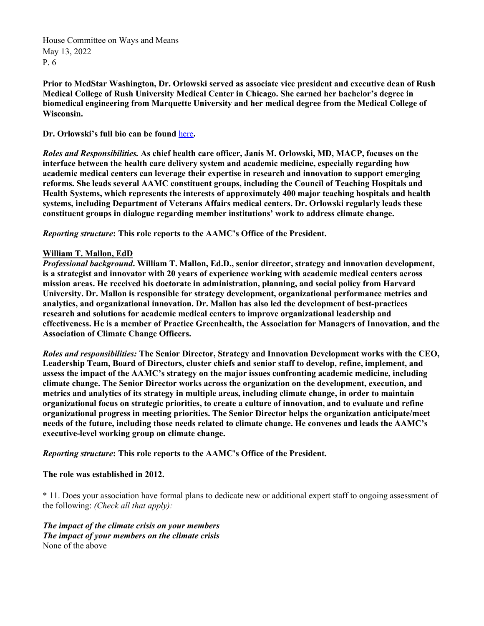**Prior to MedStar Washington, Dr. Orlowski served as associate vice president and executive dean of Rush Medical College of Rush University Medical Center in Chicago. She earned her bachelor's degree in biomedical engineering from Marquette University and her medical degree from the Medical College of Wisconsin.**

## **Dr. Orlowski's full bio can be found** [here](https://www.aamc.org/who-we-are/our-leadership/biography/janis-m-orlowski-md-macp)**.**

*Roles and Responsibilities.* **As chief health care officer, Janis M. Orlowski, MD, MACP, focuses on the interface between the health care delivery system and academic medicine, especially regarding how academic medical centers can leverage their expertise in research and innovation to support emerging reforms. She leads several AAMC constituent groups, including the Council of Teaching Hospitals and Health Systems, which represents the interests of approximately 400 major teaching hospitals and health systems, including Department of Veterans Affairs medical centers. Dr. Orlowski regularly leads these constituent groups in dialogue regarding member institutions' work to address climate change.**

*Reporting structure***: This role reports to the AAMC's Office of the President.**

### **William T. Mallon, EdD**

*Professional background***. William T. Mallon, Ed.D., senior director, strategy and innovation development, is a strategist and innovator with 20 years of experience working with academic medical centers across mission areas. He received his doctorate in administration, planning, and social policy from Harvard University. Dr. Mallon is responsible for strategy development, organizational performance metrics and analytics, and organizational innovation. Dr. Mallon has also led the development of best-practices research and solutions for academic medical centers to improve organizational leadership and effectiveness. He is a member of Practice Greenhealth, the Association for Managers of Innovation, and the Association of Climate Change Officers.** 

*Roles and responsibilities:* **The Senior Director, Strategy and Innovation Development works with the CEO, Leadership Team, Board of Directors, cluster chiefs and senior staff to develop, refine, implement, and assess the impact of the AAMC's strategy on the major issues confronting academic medicine, including climate change. The Senior Director works across the organization on the development, execution, and metrics and analytics of its strategy in multiple areas, including climate change, in order to maintain organizational focus on strategic priorities, to create a culture of innovation, and to evaluate and refine organizational progress in meeting priorities. The Senior Director helps the organization anticipate/meet needs of the future, including those needs related to climate change. He convenes and leads the AAMC's executive-level working group on climate change.**

*Reporting structure***: This role reports to the AAMC's Office of the President.**

## **The role was established in 2012.**

\* 11. Does your association have formal plans to dedicate new or additional expert staff to ongoing assessment of the following: *(Check all that apply):*

*The impact of the climate crisis on your members The impact of your members on the climate crisis* None of the above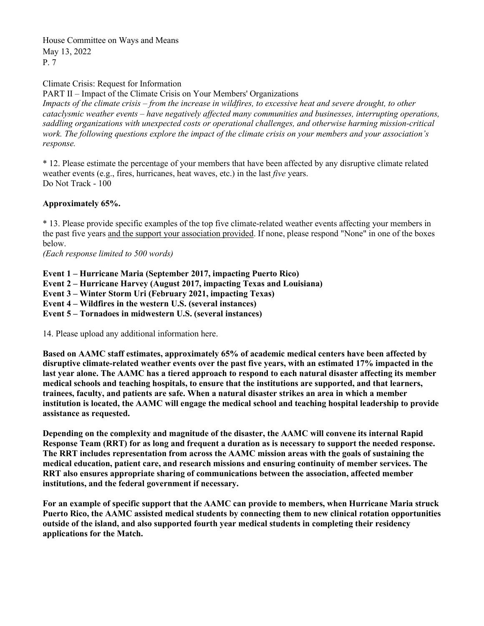Climate Crisis: Request for Information

PART II – Impact of the Climate Crisis on Your Members' Organizations *Impacts of the climate crisis – from the increase in wildfires, to excessive heat and severe drought, to other cataclysmic weather events – have negatively affected many communities and businesses, interrupting operations, saddling organizations with unexpected costs or operational challenges, and otherwise harming mission-critical work. The following questions explore the impact of the climate crisis on your members and your association's response.*

\* 12. Please estimate the percentage of your members that have been affected by any disruptive climate related weather events (e.g., fires, hurricanes, heat waves, etc.) in the last *five* years. Do Not Track - 100

# **Approximately 65%.**

\* 13. Please provide specific examples of the top five climate-related weather events affecting your members in the past five years and the support your association provided. If none, please respond "None" in one of the boxes below.

*(Each response limited to 500 words)*

**Event 1 – Hurricane Maria (September 2017, impacting Puerto Rico) Event 2 – Hurricane Harvey (August 2017, impacting Texas and Louisiana) Event 3 – Winter Storm Uri (February 2021, impacting Texas) Event 4 – Wildfires in the western U.S. (several instances) Event 5 – Tornadoes in midwestern U.S. (several instances)**

14. Please upload any additional information here.

**Based on AAMC staff estimates, approximately 65% of academic medical centers have been affected by disruptive climate-related weather events over the past five years, with an estimated 17% impacted in the last year alone. The AAMC has a tiered approach to respond to each natural disaster affecting its member medical schools and teaching hospitals, to ensure that the institutions are supported, and that learners, trainees, faculty, and patients are safe. When a natural disaster strikes an area in which a member institution is located, the AAMC will engage the medical school and teaching hospital leadership to provide assistance as requested.**

**Depending on the complexity and magnitude of the disaster, the AAMC will convene its internal Rapid Response Team (RRT) for as long and frequent a duration as is necessary to support the needed response. The RRT includes representation from across the AAMC mission areas with the goals of sustaining the medical education, patient care, and research missions and ensuring continuity of member services. The RRT also ensures appropriate sharing of communications between the association, affected member institutions, and the federal government if necessary.**

**For an example of specific support that the AAMC can provide to members, when Hurricane Maria struck Puerto Rico, the AAMC assisted medical students by connecting them to new clinical rotation opportunities outside of the island, and also supported fourth year medical students in completing their residency applications for the Match.**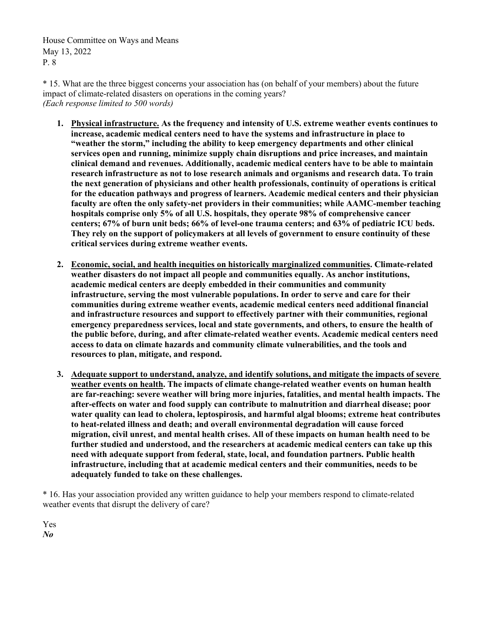\* 15. What are the three biggest concerns your association has (on behalf of your members) about the future impact of climate-related disasters on operations in the coming years? *(Each response limited to 500 words)*

- **1. Physical infrastructure. As the frequency and intensity of U.S. extreme weather events continues to increase, academic medical centers need to have the systems and infrastructure in place to "weather the storm," including the ability to keep emergency departments and other clinical services open and running, minimize supply chain disruptions and price increases, and maintain clinical demand and revenues. Additionally, academic medical centers have to be able to maintain research infrastructure as not to lose research animals and organisms and research data. To train the next generation of physicians and other health professionals, continuity of operations is critical for the education pathways and progress of learners. Academic medical centers and their physician faculty are often the only safety-net providers in their communities; while AAMC-member teaching hospitals comprise only 5% of all U.S. hospitals, they operate 98% of comprehensive cancer centers; 67% of burn unit beds; 66% of level-one trauma centers; and 63% of pediatric ICU beds. They rely on the support of policymakers at all levels of government to ensure continuity of these critical services during extreme weather events.**
- **2. Economic, social, and health inequities on historically marginalized communities. Climate-related weather disasters do not impact all people and communities equally. As anchor institutions, academic medical centers are deeply embedded in their communities and community infrastructure, serving the most vulnerable populations. In order to serve and care for their communities during extreme weather events, academic medical centers need additional financial and infrastructure resources and support to effectively partner with their communities, regional emergency preparedness services, local and state governments, and others, to ensure the health of the public before, during, and after climate-related weather events. Academic medical centers need access to data on climate hazards and community climate vulnerabilities, and the tools and resources to plan, mitigate, and respond.**
- **3. Adequate support to understand, analyze, and identify solutions, and mitigate the impacts of severe weather events on health. The impacts of climate change-related weather events on human health are far-reaching: severe weather will bring more injuries, fatalities, and mental health impacts. The after-effects on water and food supply can contribute to malnutrition and diarrheal disease; poor water quality can lead to cholera, leptospirosis, and harmful algal blooms; extreme heat contributes to heat-related illness and death; and overall environmental degradation will cause forced migration, civil unrest, and mental health crises. All of these impacts on human health need to be further studied and understood, and the researchers at academic medical centers can take up this need with adequate support from federal, state, local, and foundation partners. Public health infrastructure, including that at academic medical centers and their communities, needs to be adequately funded to take on these challenges.**

\* 16. Has your association provided any written guidance to help your members respond to climate-related weather events that disrupt the delivery of care?

Yes *No*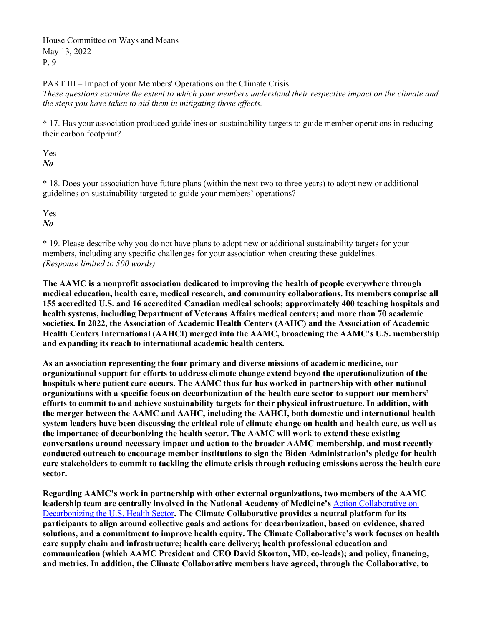PART III – Impact of your Members' Operations on the Climate Crisis

*These questions examine the extent to which your members understand their respective impact on the climate and the steps you have taken to aid them in mitigating those effects.*

\* 17. Has your association produced guidelines on sustainability targets to guide member operations in reducing their carbon footprint?

Yes *No*

\* 18. Does your association have future plans (within the next two to three years) to adopt new or additional guidelines on sustainability targeted to guide your members' operations?

Yes *No*

\* 19. Please describe why you do not have plans to adopt new or additional sustainability targets for your members, including any specific challenges for your association when creating these guidelines. *(Response limited to 500 words)*

**The AAMC is a nonprofit association dedicated to improving the health of people everywhere through medical education, health care, medical research, and community collaborations. Its members comprise all 155 accredited U.S. and 16 accredited Canadian medical schools; approximately 400 teaching hospitals and health systems, including Department of Veterans Affairs medical centers; and more than 70 academic societies. In 2022, the Association of Academic Health Centers (AAHC) and the Association of Academic Health Centers International (AAHCI) merged into the AAMC, broadening the AAMC's U.S. membership and expanding its reach to international academic health centers.**

**As an association representing the four primary and diverse missions of academic medicine, our organizational support for efforts to address climate change extend beyond the operationalization of the hospitals where patient care occurs. The AAMC thus far has worked in partnership with other national organizations with a specific focus on decarbonization of the health care sector to support our members' efforts to commit to and achieve sustainability targets for their physical infrastructure. In addition, with the merger between the AAMC and AAHC, including the AAHCI, both domestic and international health system leaders have been discussing the critical role of climate change on health and health care, as well as the importance of decarbonizing the health sector. The AAMC will work to extend these existing conversations around necessary impact and action to the broader AAMC membership, and most recently conducted outreach to encourage member institutions to sign the Biden Administration's pledge for health care stakeholders to commit to tackling the climate crisis through reducing emissions across the health care sector.**

**Regarding AAMC's work in partnership with other external organizations, two members of the AAMC leadership team are centrally involved in the National Academy of Medicine's** [Action Collaborative on](https://nam.edu/programs/climate-change-and-human-health/action-collaborative-on-decarbonizing-the-u-s-health-sector/)  [Decarbonizing the U.S. Health Sector](https://nam.edu/programs/climate-change-and-human-health/action-collaborative-on-decarbonizing-the-u-s-health-sector/)**. The Climate Collaborative provides a neutral platform for its participants to align around collective goals and actions for decarbonization, based on evidence, shared solutions, and a commitment to improve health equity. The Climate Collaborative's work focuses on health care supply chain and infrastructure; health care delivery; health professional education and communication (which AAMC President and CEO David Skorton, MD, co-leads); and policy, financing, and metrics. In addition, the Climate Collaborative members have agreed, through the Collaborative, to**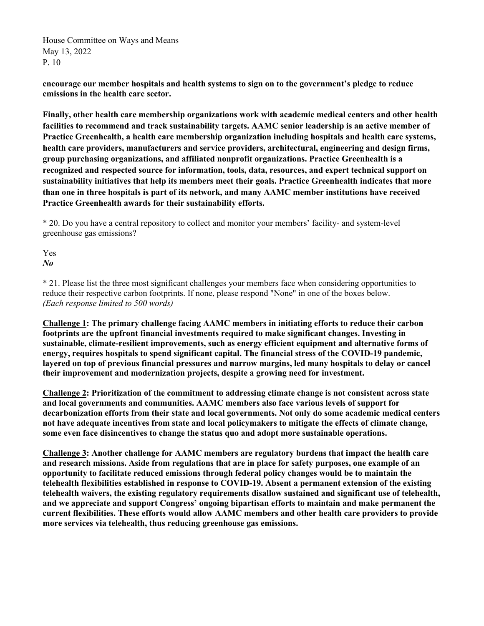**encourage our member hospitals and health systems to sign on to the government's pledge to reduce emissions in the health care sector.** 

**Finally, other health care membership organizations work with academic medical centers and other health facilities to recommend and track sustainability targets. AAMC senior leadership is an active member of Practice Greenhealth, a health care membership organization including hospitals and health care systems, health care providers, manufacturers and service providers, architectural, engineering and design firms, group purchasing organizations, and affiliated nonprofit organizations. Practice Greenhealth is a recognized and respected source for information, tools, data, resources, and expert technical support on sustainability initiatives that help its members meet their goals. Practice Greenhealth indicates that more than one in three hospitals is part of its network, and many AAMC member institutions have received Practice Greenhealth awards for their sustainability efforts.**

\* 20. Do you have a central repository to collect and monitor your members' facility- and system-level greenhouse gas emissions?

Yes *No*

\* 21. Please list the three most significant challenges your members face when considering opportunities to reduce their respective carbon footprints. If none, please respond "None" in one of the boxes below. *(Each response limited to 500 words)*

**Challenge 1: The primary challenge facing AAMC members in initiating efforts to reduce their carbon footprints are the upfront financial investments required to make significant changes. Investing in sustainable, climate-resilient improvements, such as energy efficient equipment and alternative forms of energy, requires hospitals to spend significant capital. The financial stress of the COVID-19 pandemic, layered on top of previous financial pressures and narrow margins, led many hospitals to delay or cancel their improvement and modernization projects, despite a growing need for investment.**

**Challenge 2: Prioritization of the commitment to addressing climate change is not consistent across state and local governments and communities. AAMC members also face various levels of support for decarbonization efforts from their state and local governments. Not only do some academic medical centers not have adequate incentives from state and local policymakers to mitigate the effects of climate change, some even face disincentives to change the status quo and adopt more sustainable operations.**

**Challenge 3: Another challenge for AAMC members are regulatory burdens that impact the health care and research missions. Aside from regulations that are in place for safety purposes, one example of an opportunity to facilitate reduced emissions through federal policy changes would be to maintain the telehealth flexibilities established in response to COVID-19. Absent a permanent extension of the existing telehealth waivers, the existing regulatory requirements disallow sustained and significant use of telehealth, and we appreciate and support Congress' ongoing bipartisan efforts to maintain and make permanent the current flexibilities. These efforts would allow AAMC members and other health care providers to provide more services via telehealth, thus reducing greenhouse gas emissions.**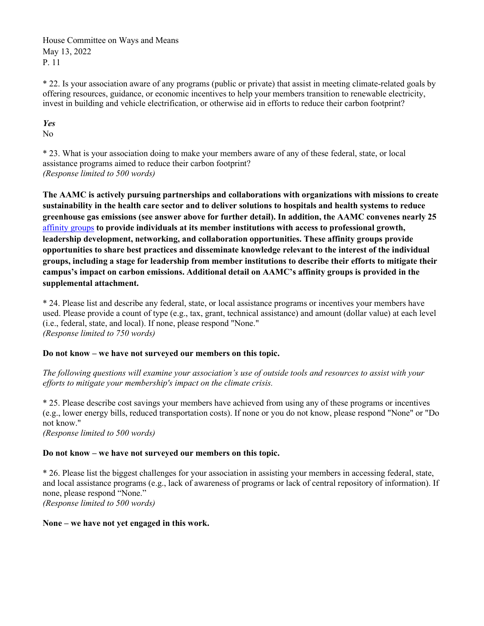\* 22. Is your association aware of any programs (public or private) that assist in meeting climate-related goals by offering resources, guidance, or economic incentives to help your members transition to renewable electricity, invest in building and vehicle electrification, or otherwise aid in efforts to reduce their carbon footprint?

# *Yes*

No

\* 23. What is your association doing to make your members aware of any of these federal, state, or local assistance programs aimed to reduce their carbon footprint? *(Response limited to 500 words)*

**The AAMC is actively pursuing partnerships and collaborations with organizations with missions to create sustainability in the health care sector and to deliver solutions to hospitals and health systems to reduce greenhouse gas emissions (see answer above for further detail). In addition, the AAMC convenes nearly 25**  [affinity groups](https://www.aamc.org/professional-development/affinity-groups) **to provide individuals at its member institutions with access to professional growth, leadership development, networking, and collaboration opportunities. These affinity groups provide opportunities to share best practices and disseminate knowledge relevant to the interest of the individual groups, including a stage for leadership from member institutions to describe their efforts to mitigate their campus's impact on carbon emissions. Additional detail on AAMC's affinity groups is provided in the supplemental attachment.**

\* 24. Please list and describe any federal, state, or local assistance programs or incentives your members have used. Please provide a count of type (e.g., tax, grant, technical assistance) and amount (dollar value) at each level (i.e., federal, state, and local). If none, please respond "None." *(Response limited to 750 words)*

# **Do not know – we have not surveyed our members on this topic.**

*The following questions will examine your association's use of outside tools and resources to assist with your efforts to mitigate your membership's impact on the climate crisis.*

\* 25. Please describe cost savings your members have achieved from using any of these programs or incentives (e.g., lower energy bills, reduced transportation costs). If none or you do not know, please respond "None" or "Do not know."

*(Response limited to 500 words)*

# **Do not know – we have not surveyed our members on this topic.**

\* 26. Please list the biggest challenges for your association in assisting your members in accessing federal, state, and local assistance programs (e.g., lack of awareness of programs or lack of central repository of information). If none, please respond "None." *(Response limited to 500 words)*

**None – we have not yet engaged in this work.**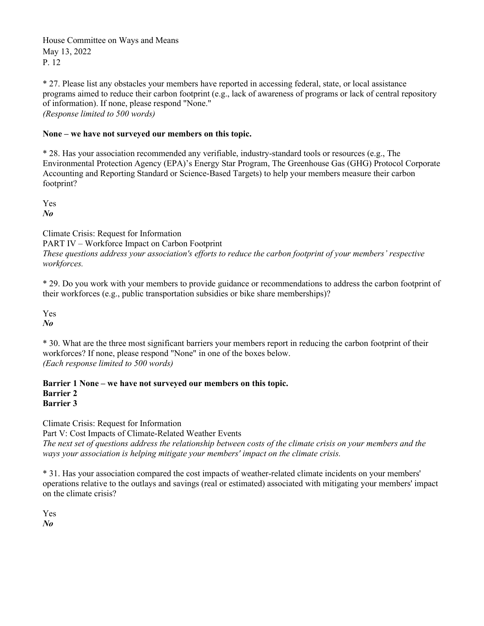\* 27. Please list any obstacles your members have reported in accessing federal, state, or local assistance programs aimed to reduce their carbon footprint (e.g., lack of awareness of programs or lack of central repository of information). If none, please respond "None." *(Response limited to 500 words)*

# **None – we have not surveyed our members on this topic.**

\* 28. Has your association recommended any verifiable, industry-standard tools or resources (e.g., The Environmental Protection Agency (EPA)'s Energy Star Program, The Greenhouse Gas (GHG) Protocol Corporate Accounting and Reporting Standard or Science-Based Targets) to help your members measure their carbon footprint?

Yes *No*

Climate Crisis: Request for Information

PART IV – Workforce Impact on Carbon Footprint

*These questions address your association's efforts to reduce the carbon footprint of your members' respective workforces.*

\* 29. Do you work with your members to provide guidance or recommendations to address the carbon footprint of their workforces (e.g., public transportation subsidies or bike share memberships)?

Yes *No*

\* 30. What are the three most significant barriers your members report in reducing the carbon footprint of their workforces? If none, please respond "None" in one of the boxes below. *(Each response limited to 500 words)*

**Barrier 1 None – we have not surveyed our members on this topic. Barrier 2 Barrier 3**

Climate Crisis: Request for Information

Part V: Cost Impacts of Climate-Related Weather Events

*The next set of questions address the relationship between costs of the climate crisis on your members and the ways your association is helping mitigate your members' impact on the climate crisis.*

\* 31. Has your association compared the cost impacts of weather-related climate incidents on your members' operations relative to the outlays and savings (real or estimated) associated with mitigating your members' impact on the climate crisis?

Yes *No*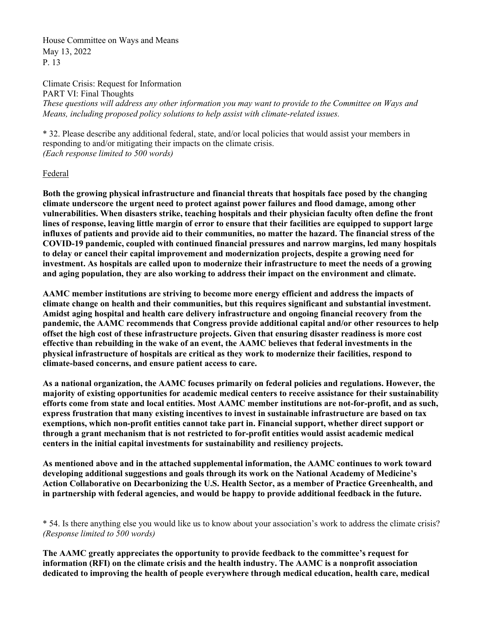Climate Crisis: Request for Information PART VI: Final Thoughts *These questions will address any other information you may want to provide to the Committee on Ways and Means, including proposed policy solutions to help assist with climate-related issues.*

\* 32. Please describe any additional federal, state, and/or local policies that would assist your members in responding to and/or mitigating their impacts on the climate crisis. *(Each response limited to 500 words)*

### Federal

**Both the growing physical infrastructure and financial threats that hospitals face posed by the changing climate underscore the urgent need to protect against power failures and flood damage, among other vulnerabilities. When disasters strike, teaching hospitals and their physician faculty often define the front lines of response, leaving little margin of error to ensure that their facilities are equipped to support large influxes of patients and provide aid to their communities, no matter the hazard. The financial stress of the COVID-19 pandemic, coupled with continued financial pressures and narrow margins, led many hospitals to delay or cancel their capital improvement and modernization projects, despite a growing need for investment. As hospitals are called upon to modernize their infrastructure to meet the needs of a growing and aging population, they are also working to address their impact on the environment and climate.** 

**AAMC member institutions are striving to become more energy efficient and address the impacts of climate change on health and their communities, but this requires significant and substantial investment. Amidst aging hospital and health care delivery infrastructure and ongoing financial recovery from the pandemic, the AAMC recommends that Congress provide additional capital and/or other resources to help offset the high cost of these infrastructure projects. Given that ensuring disaster readiness is more cost effective than rebuilding in the wake of an event, the AAMC believes that federal investments in the physical infrastructure of hospitals are critical as they work to modernize their facilities, respond to climate-based concerns, and ensure patient access to care.**

**As a national organization, the AAMC focuses primarily on federal policies and regulations. However, the majority of existing opportunities for academic medical centers to receive assistance for their sustainability efforts come from state and local entities. Most AAMC member institutions are not-for-profit, and as such, express frustration that many existing incentives to invest in sustainable infrastructure are based on tax exemptions, which non-profit entities cannot take part in. Financial support, whether direct support or through a grant mechanism that is not restricted to for-profit entities would assist academic medical centers in the initial capital investments for sustainability and resiliency projects.** 

**As mentioned above and in the attached supplemental information, the AAMC continues to work toward developing additional suggestions and goals through its work on the National Academy of Medicine's Action Collaborative on Decarbonizing the U.S. Health Sector, as a member of Practice Greenhealth, and in partnership with federal agencies, and would be happy to provide additional feedback in the future.** 

\* 54. Is there anything else you would like us to know about your association's work to address the climate crisis? *(Response limited to 500 words)*

**The AAMC greatly appreciates the opportunity to provide feedback to the committee's request for information (RFI) on the climate crisis and the health industry. The AAMC is a nonprofit association dedicated to improving the health of people everywhere through medical education, health care, medical**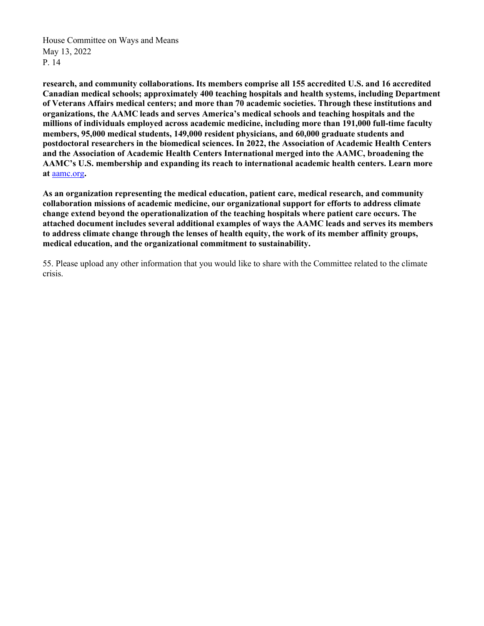**research, and community collaborations. Its members comprise all 155 accredited U.S. and 16 accredited Canadian medical schools; approximately 400 teaching hospitals and health systems, including Department of Veterans Affairs medical centers; and more than 70 academic societies. Through these institutions and organizations, the AAMC leads and serves America's medical schools and teaching hospitals and the millions of individuals employed across academic medicine, including more than 191,000 full-time faculty members, 95,000 medical students, 149,000 resident physicians, and 60,000 graduate students and postdoctoral researchers in the biomedical sciences. In 2022, the Association of Academic Health Centers and the Association of Academic Health Centers International merged into the AAMC, broadening the AAMC's U.S. membership and expanding its reach to international academic health centers. Learn more at** [aamc.org](http://www.aamc.org/)**.** 

**As an organization representing the medical education, patient care, medical research, and community collaboration missions of academic medicine, our organizational support for efforts to address climate change extend beyond the operationalization of the teaching hospitals where patient care occurs. The attached document includes several additional examples of ways the AAMC leads and serves its members to address climate change through the lenses of health equity, the work of its member affinity groups, medical education, and the organizational commitment to sustainability.**

55. Please upload any other information that you would like to share with the Committee related to the climate crisis.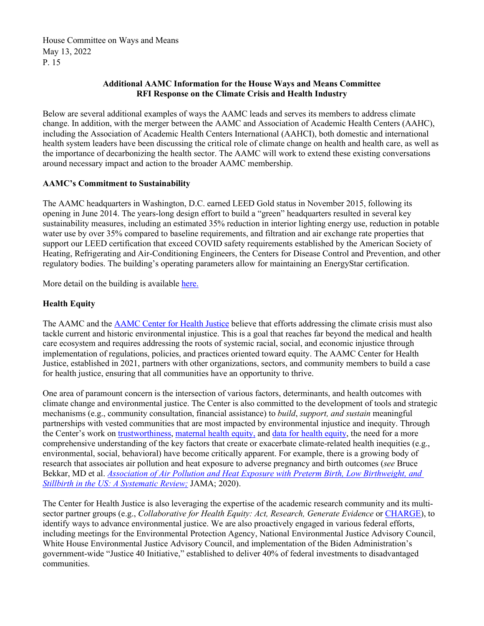# **Additional AAMC Information for the House Ways and Means Committee RFI Response on the Climate Crisis and Health Industry**

Below are several additional examples of ways the AAMC leads and serves its members to address climate change. In addition, with the merger between the AAMC and Association of Academic Health Centers (AAHC), including the Association of Academic Health Centers International (AAHCI), both domestic and international health system leaders have been discussing the critical role of climate change on health and health care, as well as the importance of decarbonizing the health sector. The AAMC will work to extend these existing conversations around necessary impact and action to the broader AAMC membership.

# **AAMC's Commitment to Sustainability**

The AAMC headquarters in Washington, D.C. earned LEED Gold status in November 2015, following its opening in June 2014. The years-long design effort to build a "green" headquarters resulted in several key sustainability measures, including an estimated 35% reduction in interior lighting energy use, reduction in potable water use by over 35% compared to baseline requirements, and filtration and air exchange rate properties that support our LEED certification that exceed COVID safety requirements established by the American Society of Heating, Refrigerating and Air-Conditioning Engineers, the Centers for Disease Control and Prevention, and other regulatory bodies. The building's operating parameters allow for maintaining an EnergyStar certification.

More detail on the building is availabl[e here.](https://www.iesve.com/consulting/projects/2504/aamc)

# **Health Equity**

The AAMC and the [AAMC Center for Health Justice](https://www.aamchealthjustice.org/) believe that efforts addressing the climate crisis must also tackle current and historic environmental injustice. This is a goal that reaches far beyond the medical and health care ecosystem and requires addressing the roots of systemic racial, social, and economic injustice through implementation of regulations, policies, and practices oriented toward equity. The AAMC Center for Health Justice, established in 2021, partners with other organizations, sectors, and community members to build a case for health justice, ensuring that all communities have an opportunity to thrive.

One area of paramount concern is the intersection of various factors, determinants, and health outcomes with climate change and environmental justice. The Center is also committed to the development of tools and strategic mechanisms (e.g., community consultation, financial assistance) to *build*, *support, and sustain* meaningful partnerships with vested communities that are most impacted by environmental injustice and inequity. Through the Center's work on [trustworthiness,](https://www.aamchealthjustice.org/resources/trustworthiness-toolkit) [maternal health equity,](https://www.aamchealthjustice.org/our-work/maternal-health-equity) and [data for health equity,](https://www.aamchealthjustice.org/our-work/data-health-equity) the need for a more comprehensive understanding of the key factors that create or exacerbate climate-related health inequities (e.g., environmental, social, behavioral) have become critically apparent. For example, there is a growing body of research that associates air pollution and heat exposure to adverse pregnancy and birth outcomes (*see* Bruce Bekkar, MD et al. *[Association of Air Pollution and Heat Exposure with Preterm Birth, Low Birthweight, and](https://jamanetwork.com/journals/jamanetworkopen/fullarticle/2767260)  [Stillbirth in the US: A Systematic Review;](https://jamanetwork.com/journals/jamanetworkopen/fullarticle/2767260)* JAMA; 2020).

The Center for Health Justice is also leveraging the expertise of the academic research community and its multisector partner groups (e.g., *Collaborative for Health Equity: Act, Research, Generate Evidence* or [CHARGE\)](https://www.aamchealthjustice.org/get-involved/aamc-charge), to identify ways to advance environmental justice. We are also proactively engaged in various federal efforts, including meetings for the Environmental Protection Agency, National Environmental Justice Advisory Council, White House Environmental Justice Advisory Council, and implementation of the Biden Administration's government-wide "Justice 40 Initiative," established to deliver 40% of federal investments to disadvantaged communities.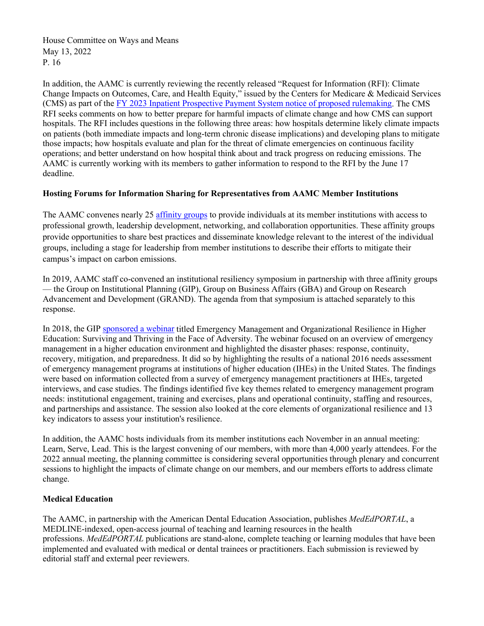In addition, the AAMC is currently reviewing the recently released "Request for Information (RFI): Climate Change Impacts on Outcomes, Care, and Health Equity," issued by the Centers for Medicare & Medicaid Services (CMS) as part of the [FY 2023 Inpatient Prospective Payment System notice of proposed rulemaking.](https://public-inspection.federalregister.gov/2022-08268.pdf) The CMS RFI seeks comments on how to better prepare for harmful impacts of climate change and how CMS can support hospitals. The RFI includes questions in the following three areas: how hospitals determine likely climate impacts on patients (both immediate impacts and long-term chronic disease implications) and developing plans to mitigate those impacts; how hospitals evaluate and plan for the threat of climate emergencies on continuous facility operations; and better understand on how hospital think about and track progress on reducing emissions. The AAMC is currently working with its members to gather information to respond to the RFI by the June 17 deadline.

# **Hosting Forums for Information Sharing for Representatives from AAMC Member Institutions**

The AAMC convenes nearly 25 [affinity groups](https://www.aamc.org/professional-development/affinity-groups) to provide individuals at its member institutions with access to professional growth, leadership development, networking, and collaboration opportunities. These affinity groups provide opportunities to share best practices and disseminate knowledge relevant to the interest of the individual groups, including a stage for leadership from member institutions to describe their efforts to mitigate their campus's impact on carbon emissions.

In 2019, AAMC staff co-convened an institutional resiliency symposium in partnership with three affinity groups — the Group on Institutional Planning (GIP), Group on Business Affairs (GBA) and Group on Research Advancement and Development (GRAND). The agenda from that symposium is attached separately to this response.

In 2018, the GIP [sponsored a webinar](https://www.aamc.org/professional-development/affinity-groups/gip/webinar-emergency-preparedness) titled Emergency Management and Organizational Resilience in Higher Education: Surviving and Thriving in the Face of Adversity. The webinar focused on an overview of emergency management in a higher education environment and highlighted the disaster phases: response, continuity, recovery, mitigation, and preparedness. It did so by highlighting the results of a national 2016 needs assessment of emergency management programs at institutions of higher education (IHEs) in the United States. The findings were based on information collected from a survey of emergency management practitioners at IHEs, targeted interviews, and case studies. The findings identified five key themes related to emergency management program needs: institutional engagement, training and exercises, plans and operational continuity, staffing and resources, and partnerships and assistance. The session also looked at the core elements of organizational resilience and 13 key indicators to assess your institution's resilience.

In addition, the AAMC hosts individuals from its member institutions each November in an annual meeting: Learn, Serve, Lead. This is the largest convening of our members, with more than 4,000 yearly attendees. For the 2022 annual meeting, the planning committee is considering several opportunities through plenary and concurrent sessions to highlight the impacts of climate change on our members, and our members efforts to address climate change.

## **Medical Education**

The AAMC, in partnership with the American Dental Education Association, publishes *MedEdPORTAL*, a MEDLINE-indexed, open-access journal of teaching and learning resources in the health professions. *MedEdPORTAL* publications are stand-alone, complete teaching or learning modules that have been implemented and evaluated with medical or dental trainees or practitioners. Each submission is reviewed by editorial staff and external peer reviewers.